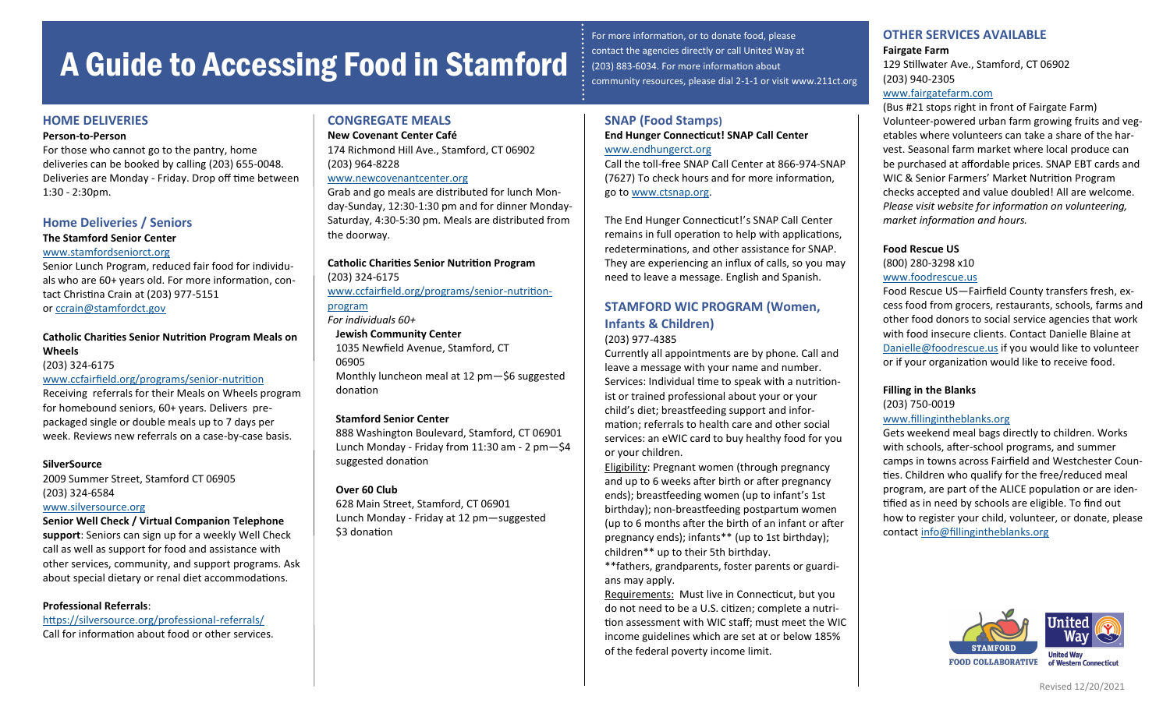# A Guide to Accessing Food in Stamford

# **HOME DELIVERIES**

#### **Person-to-Person**

For those who cannot go to the pantry, home deliveries can be booked by calling (203) 655-0048. Deliveries are Monday - Friday. Drop off time between 1:30 - 2:30pm.

# **Home Deliveries / Seniors**

# **The Stamford Senior Center**

#### [www.stamfordseniorct.org](https://www.stamfordseniorct.org/)

Senior Lunch Program, reduced fair food for individuals who are 60+ years old. For more information, contact Christina Crain at (203) 977-5151 or [ccrain@stamfordct.gov](mailto:ccrain@stamfordct.gov)

# **Catholic Charities Senior Nutrition Program Meals on Wheels**

(203) 324-6175

# [www.ccfairfield.org/programs/senior](https://www.ccfairfield.org/programs/senior-nutrition-program/)-nutrition

Receiving referrals for their Meals on Wheels program for homebound seniors, 60+ years. Delivers prepackaged single or double meals up to 7 days per week. Reviews new referrals on a case-by-case basis.

## **SilverSource**

2009 Summer Street, Stamford CT 06905 (203) 324-6584 [www.silversource.org](http://www.silversource.org)

**Senior Well Check / Virtual Companion Telephone support**: Seniors can sign up for a weekly Well Check call as well as support for food and assistance with other services, community, and support programs. Ask about special dietary or renal diet accommodations.

## **Professional Referrals**:

[https://silversource.org/professional](https://silversource.org/professional-referrals/)-referrals/ Call for information about food or other services.

# **CONGREGATE MEALS**

**New Covenant Center Café**

174 Richmond Hill Ave., Stamford, CT 06902 (203) 964-8228

## [www.newcovenantcenter.org](https://www.newcovenantcenter.org/)

Grab and go meals are distributed for lunch Monday-Sunday, 12:30-1:30 pm and for dinner Monday-Saturday, 4:30-5:30 pm. Meals are distributed from the doorway.

**Catholic Charities Senior Nutrition Program**  (203) 324-6175 [www.ccfairfield.org/programs/senior](https://www.ccfairfield.org/programs/senior-nutrition-program/)-nutrition-

[program](https://www.ccfairfield.org/programs/senior-nutrition-program/) *For individuals 60+*

## **Jewish Community Center**

1035 Newfield Avenue, Stamford, CT 06905 Monthly luncheon meal at 12 pm—\$6 suggested donation

## **Stamford Senior Center**

888 Washington Boulevard, Stamford, CT 06901 Lunch Monday - Friday from 11:30 am - 2 pm—\$4 suggested donation

## **Over 60 Club**

628 Main Street, Stamford, CT 06901 Lunch Monday - Friday at 12 pm—suggested \$3 donation

For more information, or to donate food, please contact the agencies directly or call United Way at (203) 883-6034. For more information about community resources, please dial 2-1-1 or visit www.211ct.org

# **SNAP (Food Stamps) End Hunger Connecticut! SNAP Call Center** [www.endhungerct.org](https://www.endhungerct.org/)

Call the toll-free SNAP Call Center at 866-974-SNAP (7627) To check hours and for more information, go to [www.ctsnap.org.](http://ctsnap.org/)

The End Hunger Connecticut!'s SNAP Call Center remains in full operation to help with applications, redeterminations, and other assistance for SNAP. They are experiencing an influx of calls, so you may need to leave a message. English and Spanish.

# **STAMFORD WIC PROGRAM (Women, Infants & Children)**

#### (203) 977-4385

Currently all appointments are by phone. Call and leave a message with your name and number. Services: Individual time to speak with a nutritionist or trained professional about your or your child's diet; breastfeeding support and information; referrals to health care and other social services: an eWIC card to buy healthy food for you or your children.

Eligibility: Pregnant women (through pregnancy and up to 6 weeks after birth or after pregnancy ends); breastfeeding women (up to infant's 1st birthday); non-breastfeeding postpartum women (up to 6 months after the birth of an infant or after pregnancy ends); infants\*\* (up to 1st birthday); children\*\* up to their 5th birthday.

\*\*fathers, grandparents, foster parents or guardians may apply.

Requirements: Must live in Connecticut, but you do not need to be a U.S. citizen; complete a nutrition assessment with WIC staff; must meet the WIC income guidelines which are set at or below 185% of the federal poverty income limit.

**OTHER SERVICES AVAILABLE Fairgate Farm** 129 Stillwater Ave., Stamford, CT 06902

(203) 940-2305

## [www.fairgatefarm.com](http://fairgatefarm.com/)

(Bus #21 stops right in front of Fairgate Farm) Volunteer-powered urban farm growing fruits and vegetables where volunteers can take a share of the harvest. Seasonal farm market where local produce can be purchased at affordable prices. SNAP EBT cards and WIC & Senior Farmers' Market Nutrition Program checks accepted and value doubled! All are welcome. *Please visit website for information on volunteering, market information and hours.*

## **Food Rescue US**

(800) 280-3298 x10 [www.foodrescue.us](http://www.foodrescue.us/) 

Food Rescue US—Fairfield County transfers fresh, excess food from grocers, restaurants, schools, farms and other food donors to social service agencies that work with food insecure clients. Contact Danielle Blaine at [Danielle@foodrescue.us](mailto:danielle@foodrescue.us) if you would like to volunteer or if your organization would like to receive food.

# **Filling in the Blanks**

(203) 750-0019

# [www.fillingintheblanks.org](https://www.fillingintheblanks.org/)

Gets weekend meal bags directly to children. Works with schools, after-school programs, and summer camps in towns across Fairfield and Westchester Counties. Children who qualify for the free/reduced meal program, are part of the ALICE population or are identified as in need by schools are eligible. To find out how to register your child, volunteer, or donate, please contact [info@fillingintheblanks.org](mailto:info@fillingintheblanks.org)